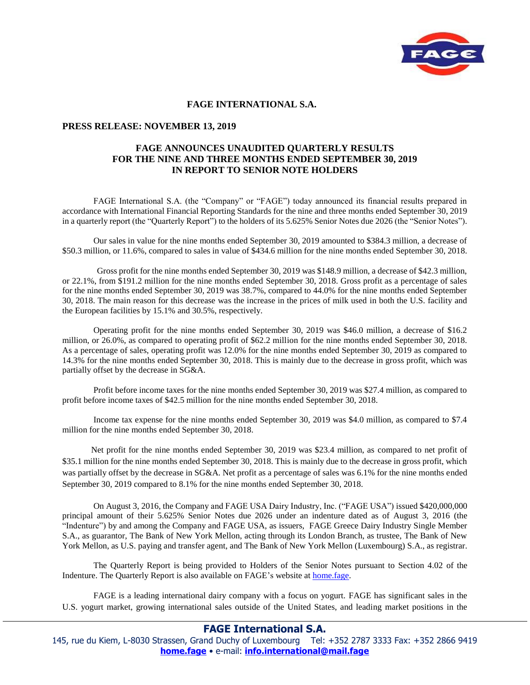

## **FAGE INTERNATIONAL S.A.**

## **PRESS RELEASE: NOVEMBER 13, 2019**

## **FAGE ANNOUNCES UNAUDITED QUARTERLY RESULTS FOR THE NINE AND THREE MONTHS ENDED SEPTEMBER 30, 2019 IN REPORT TO SENIOR NOTE HOLDERS**

FAGE International S.A. (the "Company" or "FAGE") today announced its financial results prepared in accordance with International Financial Reporting Standards for the nine and three months ended September 30, 2019 in a quarterly report (the "Quarterly Report") to the holders of its 5.625% Senior Notes due 2026 (the "Senior Notes").

Our sales in value for the nine months ended September 30, 2019 amounted to \$384.3 million, a decrease of \$50.3 million, or 11.6%, compared to sales in value of \$434.6 million for the nine months ended September 30, 2018.

 Gross profit for the nine months ended September 30, 2019 was \$148.9 million, a decrease of \$42.3 million, or 22.1%, from \$191.2 million for the nine months ended September 30, 2018. Gross profit as a percentage of sales for the nine months ended September 30, 2019 was 38.7%, compared to 44.0% for the nine months ended September 30, 2018. The main reason for this decrease was the increase in the prices of milk used in both the U.S. facility and the European facilities by 15.1% and 30.5%, respectively.

Operating profit for the nine months ended September 30, 2019 was \$46.0 million, a decrease of \$16.2 million, or 26.0%, as compared to operating profit of \$62.2 million for the nine months ended September 30, 2018. As a percentage of sales, operating profit was 12.0% for the nine months ended September 30, 2019 as compared to 14.3% for the nine months ended September 30, 2018. This is mainly due to the decrease in gross profit, which was partially offset by the decrease in SG&A.

 Profit before income taxes for the nine months ended September 30, 2019 was \$27.4 million, as compared to profit before income taxes of \$42.5 million for the nine months ended September 30, 2018.

Income tax expense for the nine months ended September 30, 2019 was \$4.0 million, as compared to \$7.4 million for the nine months ended September 30, 2018.

 Net profit for the nine months ended September 30, 2019 was \$23.4 million, as compared to net profit of \$35.1 million for the nine months ended September 30, 2018. This is mainly due to the decrease in gross profit, which was partially offset by the decrease in SG&A. Net profit as a percentage of sales was 6.1% for the nine months ended September 30, 2019 compared to 8.1% for the nine months ended September 30, 2018.

On August 3, 2016, the Company and FAGE USA Dairy Industry, Inc. ("FAGE USA") issued \$420,000,000 principal amount of their 5.625% Senior Notes due 2026 under an indenture dated as of August 3, 2016 (the "Indenture") by and among the Company and FAGE USA, as issuers, FAGE Greece Dairy Industry Single Member S.A., as guarantor, The Bank of New York Mellon, acting through its London Branch, as trustee, The Bank of New York Mellon, as U.S. paying and transfer agent, and The Bank of New York Mellon (Luxembourg) S.A., as registrar.

The Quarterly Report is being provided to Holders of the Senior Notes pursuant to Section 4.02 of the Indenture. The Quarterly Report is also available on FAGE's website at home.fage.

FAGE is a leading international dairy company with a focus on yogurt. FAGE has significant sales in the U.S. yogurt market, growing international sales outside of the United States, and leading market positions in the

## **FAGE International S.A.**

145, rue du Kiem, L-8030 Strassen, Grand Duchy of Luxembourg Tel: +352 2787 3333 Fax: +352 2866 9419 **home.fage** • e-mail: **info.international@mail.fage**